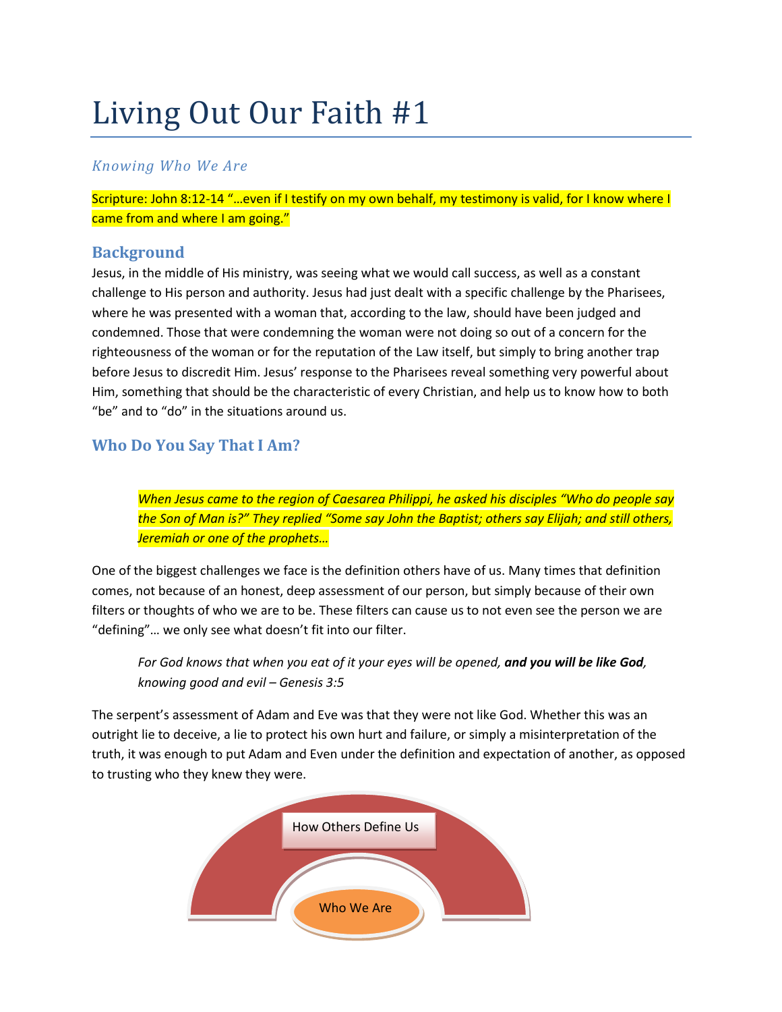# Living Out Our Faith #1

## *Knowing Who We Are*

Scripture: John 8:12-14 "…even if I testify on my own behalf, my testimony is valid, for I know where I came from and where I am going."

### **Background**

Jesus, in the middle of His ministry, was seeing what we would call success, as well as a constant challenge to His person and authority. Jesus had just dealt with a specific challenge by the Pharisees, where he was presented with a woman that, according to the law, should have been judged and condemned. Those that were condemning the woman were not doing so out of a concern for the righteousness of the woman or for the reputation of the Law itself, but simply to bring another trap before Jesus to discredit Him. Jesus' response to the Pharisees reveal something very powerful about Him, something that should be the characteristic of every Christian, and help us to know how to both "be" and to "do" in the situations around us.

## **Who Do You Say That I Am?**

*When Jesus came to the region of Caesarea Philippi, he asked his disciples "Who do people say the Son of Man is?" They replied "Some say John the Baptist; others say Elijah; and still others, Jeremiah or one of the prophets…*

One of the biggest challenges we face is the definition others have of us. Many times that definition comes, not because of an honest, deep assessment of our person, but simply because of their own filters or thoughts of who we are to be. These filters can cause us to not even see the person we are "defining"… we only see what doesn't fit into our filter.

*For God knows that when you eat of it your eyes will be opened, and you will be like God, knowing good and evil – Genesis 3:5*

The serpent's assessment of Adam and Eve was that they were not like God. Whether this was an outright lie to deceive, a lie to protect his own hurt and failure, or simply a misinterpretation of the truth, it was enough to put Adam and Even under the definition and expectation of another, as opposed to trusting who they knew they were.

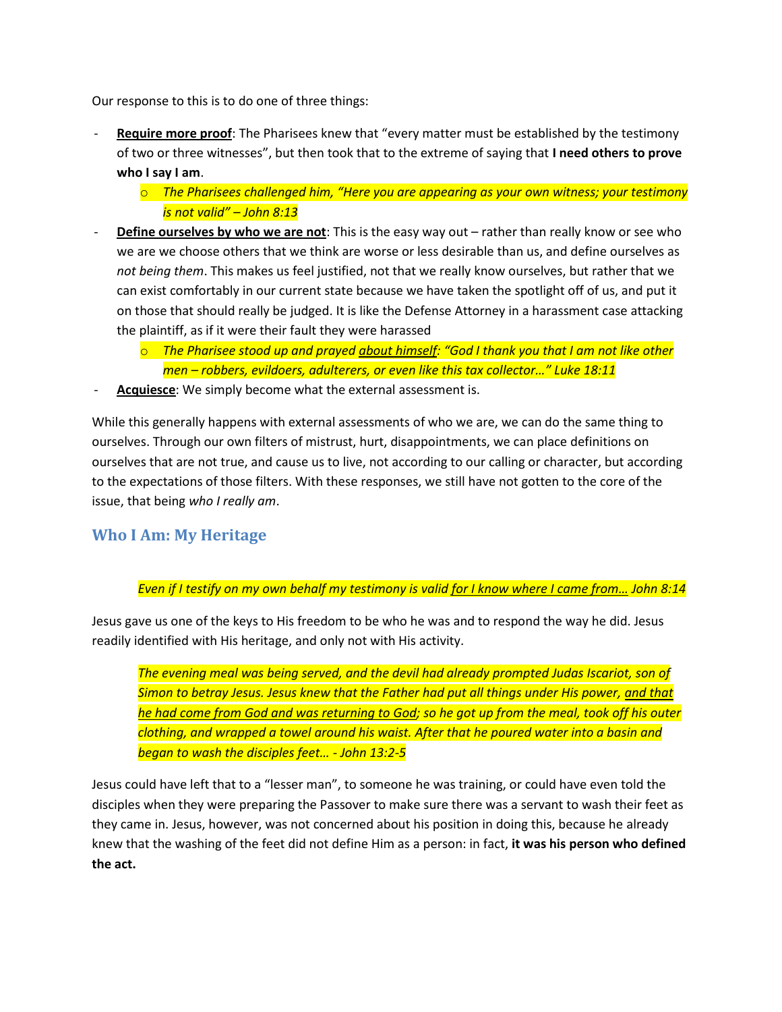Our response to this is to do one of three things:

- Require more proof: The Pharisees knew that "every matter must be established by the testimony of two or three witnesses", but then took that to the extreme of saying that **I need others to prove who I say I am**.
	- o *The Pharisees challenged him, "Here you are appearing as your own witness; your testimony is not valid" – John 8:13*
- **Define ourselves by who we are not**: This is the easy way out rather than really know or see who we are we choose others that we think are worse or less desirable than us, and define ourselves as *not being them*. This makes us feel justified, not that we really know ourselves, but rather that we can exist comfortably in our current state because we have taken the spotlight off of us, and put it on those that should really be judged. It is like the Defense Attorney in a harassment case attacking the plaintiff, as if it were their fault they were harassed
	- o *The Pharisee stood up and prayed about himself: "God I thank you that I am not like other men – robbers, evildoers, adulterers, or even like this tax collector…" Luke 18:11*
- Acquiesce: We simply become what the external assessment is.

While this generally happens with external assessments of who we are, we can do the same thing to ourselves. Through our own filters of mistrust, hurt, disappointments, we can place definitions on ourselves that are not true, and cause us to live, not according to our calling or character, but according to the expectations of those filters. With these responses, we still have not gotten to the core of the issue, that being *who I really am*.

#### **Who I Am: My Heritage**

#### *Even if I testify on my own behalf my testimony is valid for I know where I came from… John 8:14*

Jesus gave us one of the keys to His freedom to be who he was and to respond the way he did. Jesus readily identified with His heritage, and only not with His activity.

*The evening meal was being served, and the devil had already prompted Judas Iscariot, son of Simon to betray Jesus. Jesus knew that the Father had put all things under His power, and that he had come from God and was returning to God; so he got up from the meal, took off his outer clothing, and wrapped a towel around his waist. After that he poured water into a basin and began to wash the disciples feet… - John 13:2-5*

Jesus could have left that to a "lesser man", to someone he was training, or could have even told the disciples when they were preparing the Passover to make sure there was a servant to wash their feet as they came in. Jesus, however, was not concerned about his position in doing this, because he already knew that the washing of the feet did not define Him as a person: in fact, **it was his person who defined the act.**